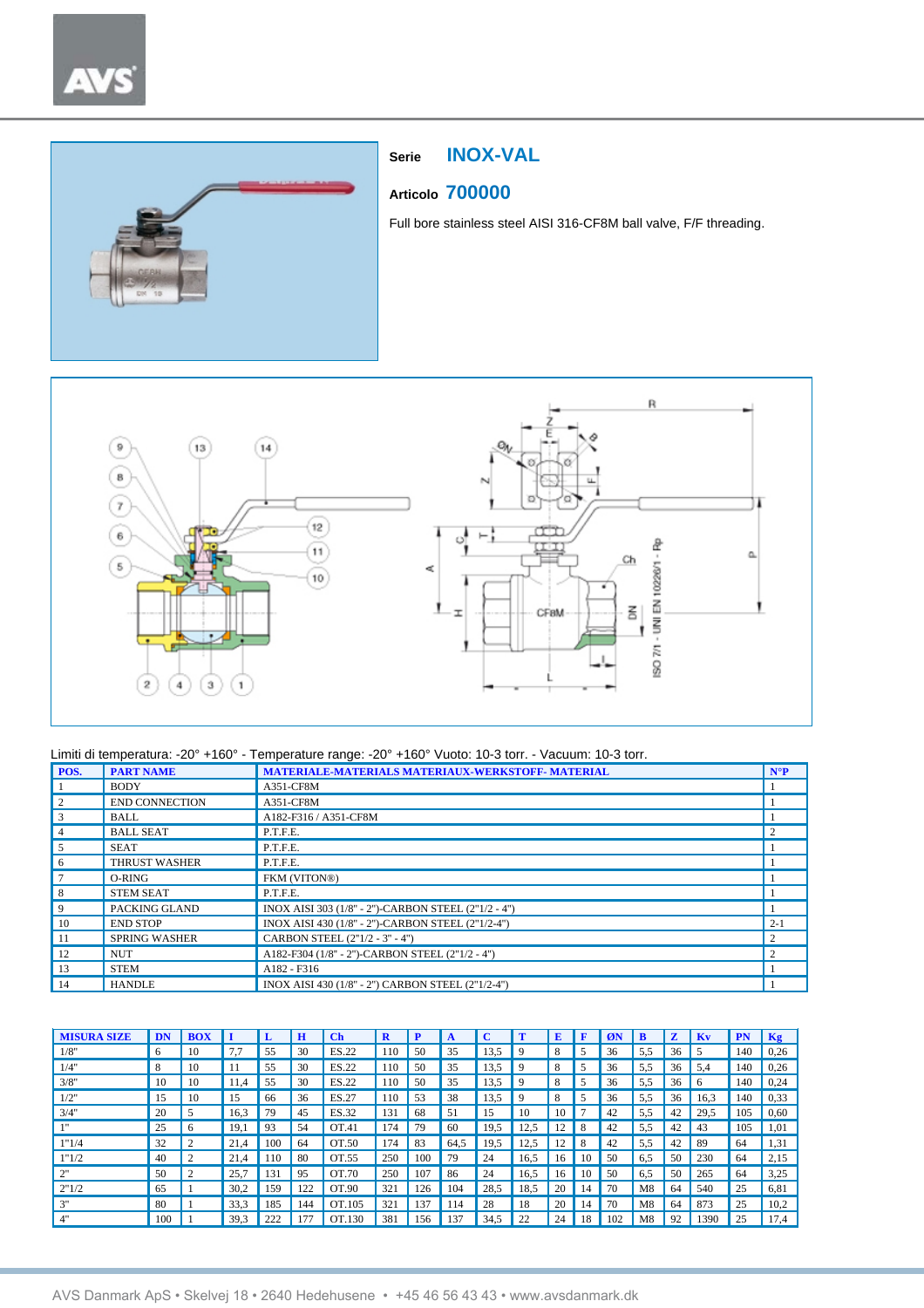# $^\star$



# **Serie INOX-VAL**

# **Articolo 700000**

Full bore stainless steel AISI 316-CF8M ball valve, F/F threading.



| POS. | <b>PART NAME</b>      | MATERIALE-MATERIALS MATERIAUX-WERKSTOFF-MATERIAL    | $N^{\circ}P$                |
|------|-----------------------|-----------------------------------------------------|-----------------------------|
|      | <b>BODY</b>           | A351-CF8M                                           |                             |
|      | <b>END CONNECTION</b> | A351-CF8M                                           |                             |
|      | <b>BALL</b>           | A182-F316 / A351-CF8M                               |                             |
|      | <b>BALL SEAT</b>      | P.T.F.E.                                            |                             |
|      | <b>SEAT</b>           | P.T.F.E.                                            |                             |
| 6    | <b>THRUST WASHER</b>  | P.T.F.E.                                            |                             |
|      | O-RING                | FKM (VITON®)                                        |                             |
| 8    | <b>STEM SEAT</b>      | P.T.F.E.                                            |                             |
| 9    | PACKING GLAND         | INOX AISI 303 (1/8" - 2")-CARBON STEEL (2"1/2 - 4") |                             |
| 10   | <b>END STOP</b>       | INOX AISI 430 (1/8" - 2")-CARBON STEEL (2"1/2-4")   | $2 - 1$                     |
| -11  | <b>SPRING WASHER</b>  | CARBON STEEL (2"1/2 - 3" - 4")                      | $\mathcal{D}_{\mathcal{A}}$ |
| 12   | <b>NUT</b>            | A182-F304 (1/8" - 2")-CARBON STEEL (2"1/2 - 4")     |                             |
| 13   | <b>STEM</b>           | A182 - F316                                         |                             |
| 14   | <b>HANDLE</b>         | INOX AISI 430 (1/8" - 2") CARBON STEEL (2"1/2-4")   |                             |

| <b>MISURA SIZE</b> | DN  | <b>BOX</b>     |      |     | Ħ   | $\mathbf C$ h | D   | P   |      | C    |      | E  |    | ØN  |     | $\mathbf{z}$ | Kv   | <b>PN</b> | Kg   |
|--------------------|-----|----------------|------|-----|-----|---------------|-----|-----|------|------|------|----|----|-----|-----|--------------|------|-----------|------|
| 1/8"               | 6   | 10             | 7.7  | 55  | 30  | ES.22         | 110 | 50  | 35   | 13,5 | 9    | 8  |    | 36  | 5,5 | 36           | 5    | 140       | 0,26 |
| 1/4"               | 8   | 10             | 11   | 55  | 30  | ES.22         | 110 | 50  | 35   | 13,5 | 9    | 8  |    | 36  | 5,5 | 36           | 5.4  | 140       | 0,26 |
| 3/8"               | 10  | 10             | 11.4 | 55  | 30  | ES.22         | 110 | 50  | 35   | 13,5 | 9    | 8  |    | 36  | 5,5 | 36           | 6    | 140       | 0,24 |
| 1/2"               | 15  | 10             | 15   | 66  | 36  | ES.27         | 110 | 53  | 38   | 13.5 | 9    | 8  | 5  | 36  | 5,5 | 36           | 16,3 | 140       | 0.33 |
| 3/4"               | 20  | 5              | 16,3 | 79  | 45  | ES.32         | 131 | 68  | 51   | 15   | 10   | 10 | Ð  | 42  | 5,5 | 42           | 29,5 | 105       | 0,60 |
| 111                | 25  | 6              | 19.1 | 93  | 54  | OT.41         | 174 | 79  | 60   | 19,5 | 12,5 | 12 | 8  | 42  | 5,5 | 42           | 43   | 105       | 1,01 |
| 1"1/4              | 32  | $\mathcal{L}$  | 21.4 | 100 | 64  | OT.50         | 174 | 83  | 64,5 | 19,5 | 12,5 | 12 | 8  | 42  | 5,5 | 42           | 89   | 64        | 1,31 |
| 1"1/2              | 40  | $\overline{2}$ | 21.4 | 110 | 80  | OT.55         | 250 | 100 | 79   | 24   | 16,5 | 16 | 10 | 50  | 6.5 | 50           | 230  | 64        | 2,15 |
| 2"                 | 50  | $\overline{c}$ | 25,7 | 131 | 95  | OT.70         | 250 | 107 | 86   | 24   | 16,5 | 16 | 10 | 50  | 6,5 | 50           | 265  | 64        | 3,25 |
| 2"1/2              | 65  |                | 30,2 | 159 | 122 | OT.90         | 321 | 126 | 104  | 28,5 | 18,5 | 20 | 14 | 70  | M8  | 64           | 540  | 25        | 6,81 |
| 3"                 | 80  |                | 33.3 | 185 | 144 | OT.105        | 321 | 137 | 114  | 28   | 18   | 20 | 14 | 70  | M8  | 64           | 873  | 25        | 10,2 |
| 4"                 | 100 |                | 39,3 | 222 | 177 | OT.130        | 381 | 156 | 137  | 34,5 | 22   | 24 | 18 | 102 | M8  | 92           | 1390 | 25        | 17,4 |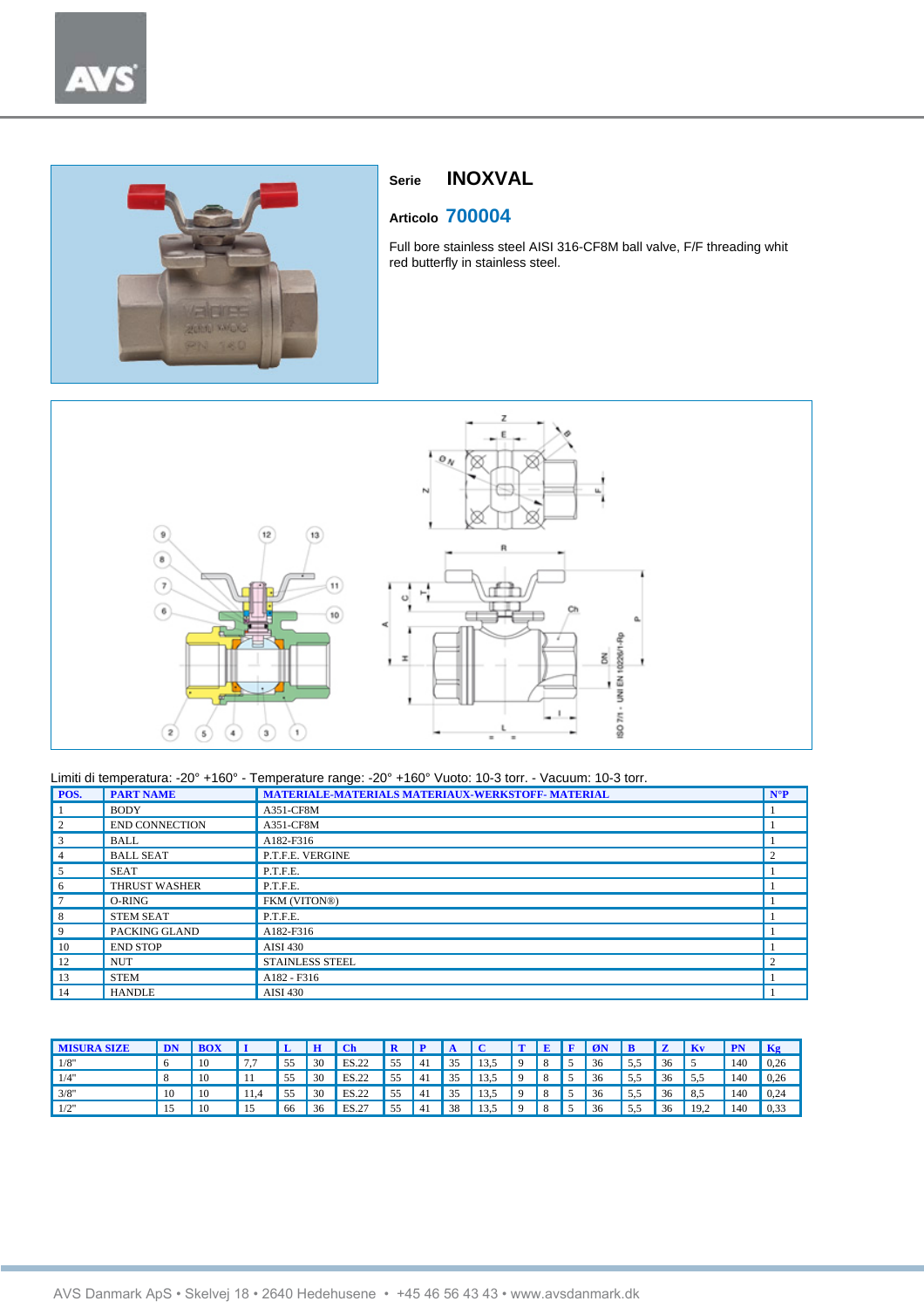



# **Serie INOXVAL**

# **Articolo 700004**

Full bore stainless steel AISI 316-CF8M ball valve, F/F threading whit red butterfly in stainless steel.



| POS.           | <b>PART NAME</b>      | <b>MATERIALE-MATERIALS MATERIAUX-WERKSTOFF- MATERIAL</b> | $N^{\circ}P$ |
|----------------|-----------------------|----------------------------------------------------------|--------------|
|                | <b>BODY</b>           | A351-CF8M                                                |              |
| $\overline{c}$ | <b>END CONNECTION</b> | A351-CF8M                                                |              |
| 3              | <b>BALL</b>           | A182-F316                                                |              |
| 4              | <b>BALL SEAT</b>      | P.T.F.E. VERGINE                                         | 2            |
|                | <b>SEAT</b>           | P.T.F.E.                                                 |              |
| 6              | <b>THRUST WASHER</b>  | P.T.F.E.                                                 |              |
|                | O-RING                | FKM (VITON®)                                             |              |
| 8              | <b>STEM SEAT</b>      | P.T.F.E.                                                 |              |
| 9              | PACKING GLAND         | A182-F316                                                |              |
| 10             | <b>END STOP</b>       | <b>AISI 430</b>                                          |              |
| 12             | <b>NUT</b>            | <b>STAINLESS STEEL</b>                                   | $\gamma$     |
| 13             | <b>STEM</b>           | A182 - F316                                              |              |
| 14             | <b>HANDLE</b>         | <b>AISI 430</b>                                          |              |

| <b>MISURA SIZE</b> | DN |  |    | H  | Ch    |    |     |    |      | <b>T</b> | E   | l F | ØN |     |    | <b>Kv</b> | <b>PN</b> | Kg   |
|--------------------|----|--|----|----|-------|----|-----|----|------|----------|-----|-----|----|-----|----|-----------|-----------|------|
| 1/8"               |    |  | 55 | 30 | ES.22 | 55 | 41  | 35 | 13,5 | $\Omega$ | -8  |     | 36 | 5.5 | 36 |           | 140       | 0.26 |
| 1/4"               |    |  | 55 | 30 | ES.22 | 55 | -41 | 35 | 13,5 | $\Omega$ | -8  |     | 36 | 5.5 | 36 | 5.5       | 140       | 0.26 |
| 3/8"               | 10 |  | 55 | 30 | ES.22 | 55 | -41 | 35 | 13.5 | $\Omega$ | -8  |     | 36 | 5.5 | 36 | 8.5       | 140       | 0,24 |
| 1/2"               |    |  | 66 | 36 | ES.27 | 55 | -41 | 38 | 13.5 | $\Omega$ | . 8 |     | 36 | 5.5 | 36 | 19.2      | 140       | 0,33 |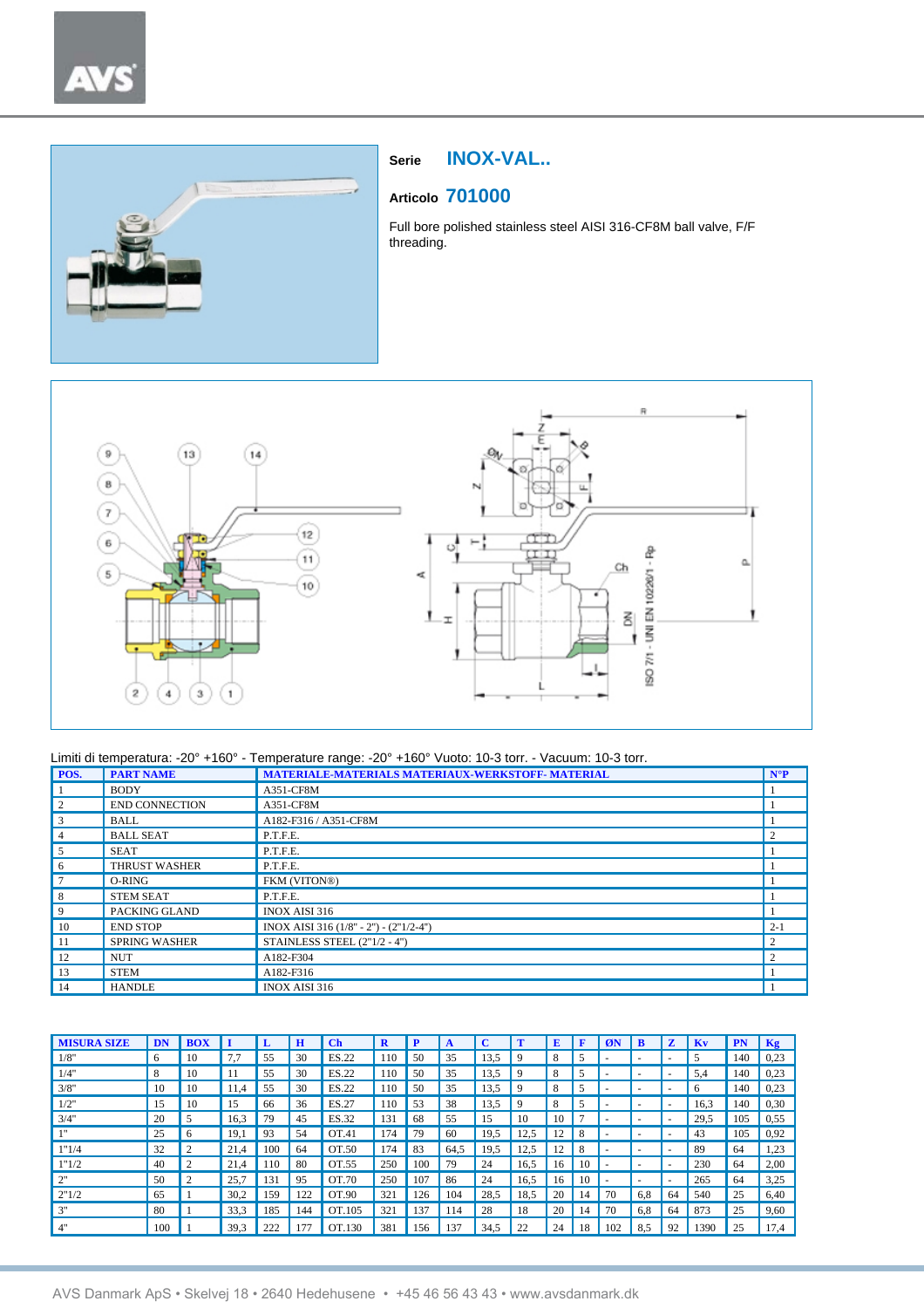# $\lambda$



# **Serie INOX-VAL..**

# **Articolo 701000**

Full bore polished stainless steel AISI 316-CF8M ball valve, F/F threading.



| POS. | <b>PART NAME</b>      | MATERIALE-MATERIALS MATERIAUX-WERKSTOFF- MATERIAL | $N^{\circ}P$                |
|------|-----------------------|---------------------------------------------------|-----------------------------|
|      | <b>BODY</b>           | A351-CF8M                                         |                             |
|      | <b>END CONNECTION</b> | A351-CF8M                                         |                             |
| 3    | <b>BALL</b>           | A182-F316 / A351-CF8M                             |                             |
|      | <b>BALL SEAT</b>      | P.T.F.E.                                          | $\overline{c}$              |
|      | <b>SEAT</b>           | P.T.F.E.                                          |                             |
| 6    | <b>THRUST WASHER</b>  | P.T.F.E.                                          |                             |
|      | O-RING                | FKM (VITON®)                                      |                             |
| 8    | <b>STEM SEAT</b>      | P.T.F.E.                                          |                             |
| 9    | PACKING GLAND         | <b>INOX AISI 316</b>                              |                             |
| 10   | <b>END STOP</b>       | INOX AISI 316 (1/8" - 2") - (2"1/2-4")            | $2-1$                       |
| 11   | <b>SPRING WASHER</b>  | STAINLESS STEEL (2"1/2 - 4")                      | $\overline{c}$              |
| 12   | <b>NUT</b>            | A182-F304                                         | $\mathcal{D}_{\mathcal{A}}$ |
| 13   | <b>STEM</b>           | A182-F316                                         |                             |
| 14   | <b>HANDLE</b>         | <b>INOX AISI 316</b>                              |                             |

| <b>MISURA SIZE</b> | <b>DN</b> | <b>BOX</b>     |      |     | н   | $\mathbf C$ <sub>h</sub> | R   | P   |      | C    |      | E              | F  | ØN  |     | z                        | Kv   | PN  | Kg   |
|--------------------|-----------|----------------|------|-----|-----|--------------------------|-----|-----|------|------|------|----------------|----|-----|-----|--------------------------|------|-----|------|
| 1/8"               | 6         | 10             | 7.7  | 55  | 30  | ES.22                    | 110 | 50  | 35   | 13.5 | 9    | 8              |    |     |     | ۰                        |      | 140 | 0,23 |
| 1/4"               | 8         | 10             |      | 55  | 30  | ES.22                    | 110 | 50  | 35   | 13,5 | 9    | 8              |    |     |     | $\overline{\phantom{a}}$ | 5.4  | 140 | 0,23 |
| 3/8"               | 10        | 10             | 11.4 | 55  | 30  | ES.22                    | 110 | 50  | 35   | 13,5 | 9    | 8              |    |     |     | ۰                        | 6    | 140 | 0,23 |
| 1/2"               | 15        | 10             | 15   | 66  | 36  | ES.27                    | 110 | 53  | 38   | 13.5 | 9    | 8              | 5  |     |     | ۰                        | 16,3 | 140 | 0,30 |
| 3/4"               | 20        | 5              | 16,3 | 79  | 45  | ES.32                    | 131 | 68  | 55   | 15   | 10   | 10             | π  |     |     | $\sim$                   | 29,5 | 105 | 0,55 |
| 111                | 25        | 6              | 19,1 | 93  | 54  | OT.41                    | 174 | 79  | 60   | 19,5 | 12,5 | 12             | 8  |     |     | $\sim$                   | 43   | 105 | 0,92 |
| 1"1/4              | 32        |                | 21.4 | 100 | 64  | OT.50                    | 174 | 83  | 64,5 | 19,5 | 12,5 | $\overline{c}$ | 8  |     | ۰   | ۰                        | 89   | 64  | 1,23 |
| 1"1/2              | 40        | $\overline{c}$ | 21.4 | 110 | 80  | OT.55                    | 250 | 100 | 79   | 24   | 16,5 | 16             | 10 |     |     | $\sim$                   | 230  | 64  | 2,00 |
| 2"                 | 50        | $\overline{2}$ | 25,7 | 131 | 95  | OT.70                    | 250 | 107 | 86   | 24   | 16,5 | 16             | 10 | ۰   | ۰   | $\sim$                   | 265  | 64  | 3,25 |
| 2"1/2              | 65        |                | 30,2 | 159 | 122 | OT.90                    | 321 | 126 | 104  | 28,5 | 18,5 | 20             | 14 | 70  | 6,8 | 64                       | 540  | 25  | 6,40 |
| 3"                 | 80        |                | 33,3 | 185 | 144 | OT.105                   | 321 | 137 | 114  | 28   | 18   | 20             | 14 | 70  | 6.8 | 64                       | 873  | 25  | 9,60 |
| 4"                 | 100       |                | 39,3 | 222 | 177 | OT.130                   | 381 | 156 | 137  | 34,5 | 22   | 24             | 18 | 102 | 8,5 | 92                       | 1390 | 25  | 17,4 |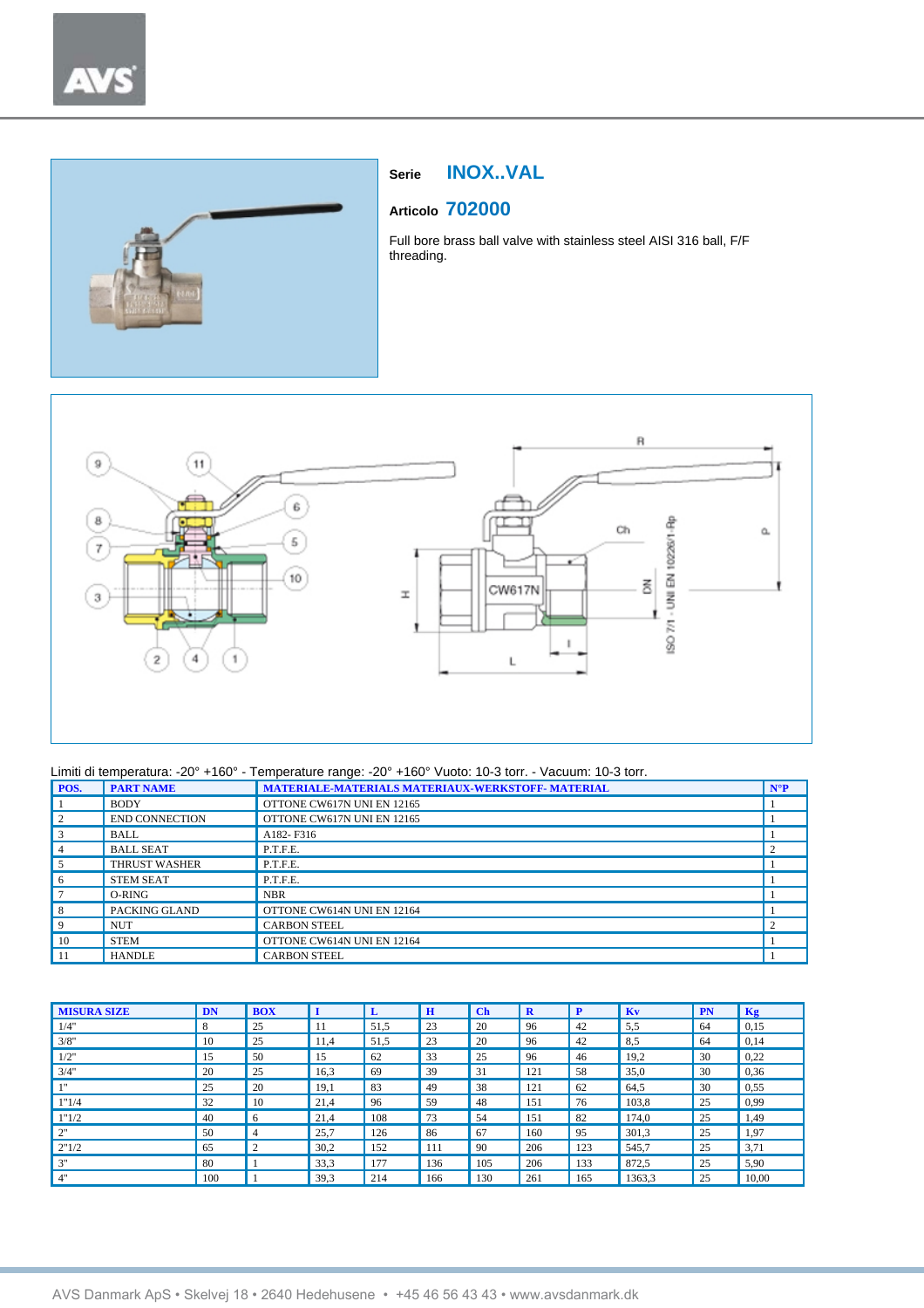

# **Serie INOX..VAL**

# **Articolo 702000**

Full bore brass ball valve with stainless steel AISI 316 ball, F/F threading.



| POS. | <b>PART NAME</b>      | MATERIALE-MATERIALS MATERIAUX-WERKSTOFF- MATERIAL | $N^{\circ}P$ |
|------|-----------------------|---------------------------------------------------|--------------|
|      | <b>BODY</b>           | OTTONE CW617N UNI EN 12165                        |              |
|      | <b>END CONNECTION</b> | OTTONE CW617N UNI EN 12165                        |              |
|      | <b>BALL</b>           | A182-F316                                         |              |
|      | <b>BALL SEAT</b>      | P.T.F.E.                                          |              |
|      | <b>THRUST WASHER</b>  | P.T.F.E.                                          |              |
|      | <b>STEM SEAT</b>      | P.T.F.E.                                          |              |
|      | O-RING                | <b>NBR</b>                                        |              |
|      | <b>PACKING GLAND</b>  | OTTONE CW614N UNI EN 12164                        |              |
|      | <b>NUT</b>            | <b>CARBON STEEL</b>                               |              |
| 10   | <b>STEM</b>           | OTTONE CW614N UNI EN 12164                        |              |
| -11  | <b>HANDLE</b>         | <b>CARBON STEEL</b>                               |              |

| <b>MISURA SIZE</b> | DN  | <b>BOX</b> | I    | L    | $\mathbf H$ | $ch$ | $\mathbf R$ | P   | Kv     | <b>PN</b> | Kg    |
|--------------------|-----|------------|------|------|-------------|------|-------------|-----|--------|-----------|-------|
| 1/4"               | 8   | 25         | 11   | 51,5 | 23          | 20   | 96          | 42  | 5,5    | 64        | 0,15  |
| 3/8"               | 10  | 25         | 11.4 | 51,5 | 23          | 20   | 96          | 42  | 8,5    | 64        | 0,14  |
| 1/2"               | 15  | 50         | 15   | 62   | 33          | 25   | 96          | 46  | 19,2   | 30        | 0,22  |
| 3/4"               | 20  | 25         | 16,3 | 69   | 39          | 31   | 121         | 58  | 35,0   | 30        | 0,36  |
| 111                | 25  | 20         | 19.1 | 83   | 49          | 38   | 121         | 62  | 64,5   | 30        | 0,55  |
| 1"1/4              | 32  | 10         | 21.4 | 96   | 59          | 48   | 151         | 76  | 103,8  | 25        | 0,99  |
| 1"1/2              | 40  | 6          | 21.4 | 108  | 73          | 54   | 151         | 82  | 174.0  | 25        | 1.49  |
| 2"                 | 50  | 4          | 25,7 | 126  | 86          | 67   | 160         | 95  | 301,3  | 25        | 1.97  |
| 2"1/2              | 65  | 2          | 30,2 | 152  | 111         | 90   | 206         | 123 | 545,7  | 25        | 3,71  |
| 3"                 | 80  |            | 33,3 | 177  | 136         | 105  | 206         | 133 | 872.5  | 25        | 5.90  |
| 4"                 | 100 |            | 39.3 | 214  | 166         | 130  | 261         | 165 | 1363.3 | 25        | 10.00 |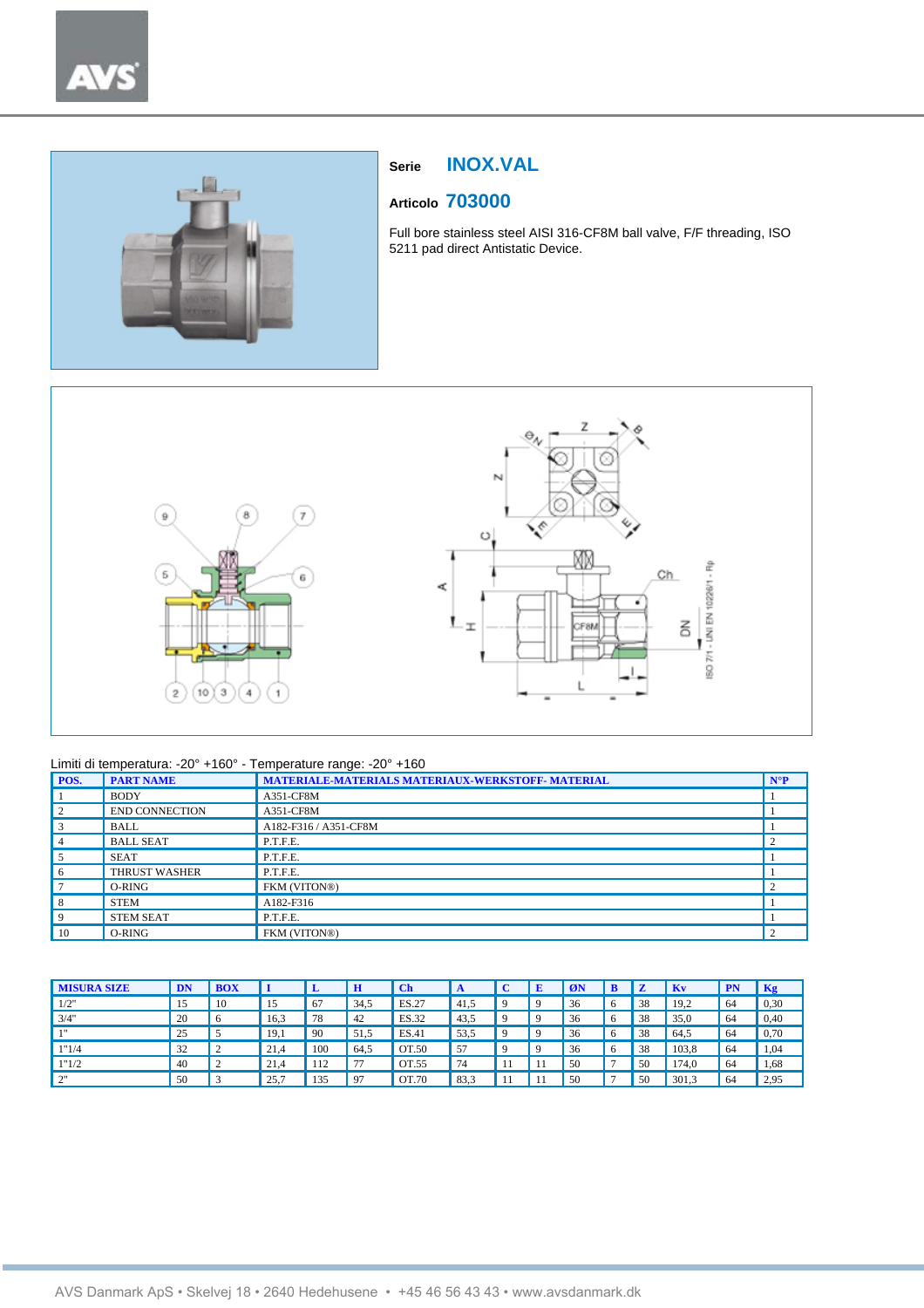



# **Serie INOX.VAL**

# **Articolo 703000**

Full bore stainless steel AISI 316-CF8M ball valve, F/F threading, ISO 5211 pad direct Antistatic Device.



#### Limiti di temperatura: -20° +160° - Temperature range: -20° +160

| POS.           | <b>PART NAME</b>      | <b>MATERIALE-MATERIALS MATERIAUX-WERKSTOFF- MATERIAL</b> | $N^{\circ}P$ |
|----------------|-----------------------|----------------------------------------------------------|--------------|
|                | <b>BODY</b>           | A351-CF8M                                                |              |
| 2              | <b>END CONNECTION</b> | A351-CF8M                                                |              |
| 3              | <b>BALL</b>           | A182-F316 / A351-CF8M                                    |              |
| $\overline{4}$ | <b>BALL SEAT</b>      | P.T.F.E.                                                 |              |
| 5              | <b>SEAT</b>           | P.T.F.E.                                                 |              |
| 6              | <b>THRUST WASHER</b>  | P.T.F.E.                                                 |              |
| $\overline{7}$ | O-RING                | FKM (VITON®)                                             |              |
| 8              | <b>STEM</b>           | A182-F316                                                |              |
| 9              | <b>STEM SEAT</b>      | P.T.F.E.                                                 |              |
| 10             | O-RING                | FKM (VITON®)                                             |              |

| <b>MISURA SIZE</b> | DN | <b>BOX</b> |      | L   | H    | $\mathbf C$ h | A       | E | ØN | B |    | Kv    | <b>PN</b> | Kg   |
|--------------------|----|------------|------|-----|------|---------------|---------|---|----|---|----|-------|-----------|------|
| 1/2"               | 15 | 10         | 15   | 67  | 34.5 | ES.27         | 41.5    |   | 36 | 6 | 38 | 19.2  | 64        | 0,30 |
| 3/4"               | 20 |            | 16,3 | 78  | 42   | ES.32         | 43.5    | a | 36 | 6 | 38 | 35,0  | 64        | 0.40 |
| 111                | 25 |            | 19,1 | 90  | 51,5 | ES.41         | 53.5    | Q | 36 | 6 | 38 | 64.5  | 64        | 0,70 |
| 1"1/4              | 32 |            | 21,4 | 100 | 64.5 | OT.50         | 57<br>◡ | Q | 36 | 6 | 38 | 103.8 | 64        | 1,04 |
| 1"1/2              | 40 | $\sim$     | 21,4 | 112 | 77   | OT.55         | 74      |   | 50 |   | 50 | 174.0 | 64        | 1,68 |
| $\gamma$ "<br>∸    | 50 |            | 25,7 | 135 | 97   | OT.70         | 83.3    |   | 50 |   | 50 | 301,3 | 64        | 2,95 |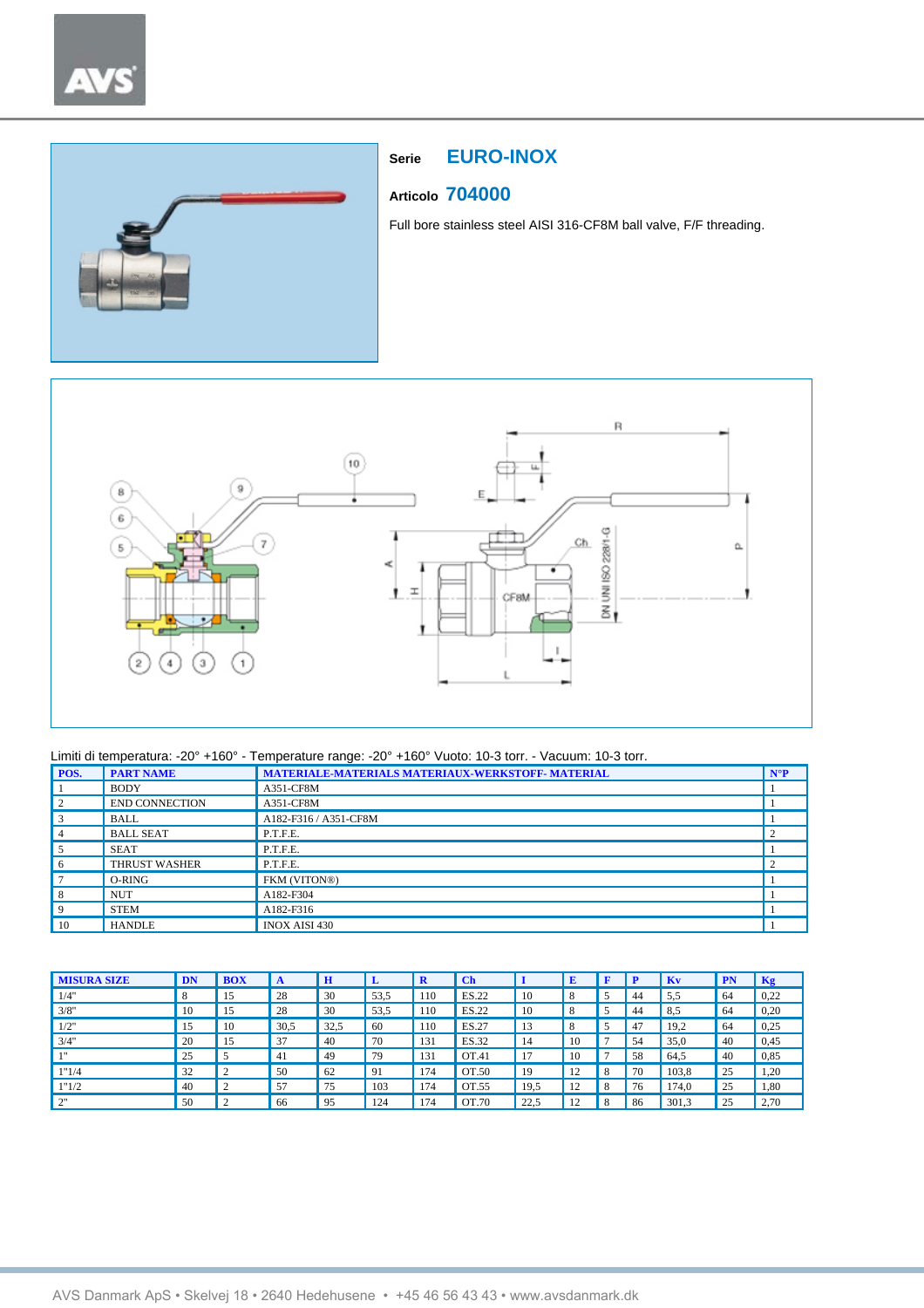

# **Serie EURO-INOX**

## **Articolo 704000**

Full bore stainless steel AISI 316-CF8M ball valve, F/F threading.



| POS.     | <b>PART NAME</b>      | MATERIALE-MATERIALS MATERIAUX-WERKSTOFF-MATERIAL | $N^{\circ}P$ |
|----------|-----------------------|--------------------------------------------------|--------------|
|          | <b>BODY</b>           | A351-CF8M                                        |              |
|          | <b>END CONNECTION</b> | A351-CF8M                                        |              |
|          | <b>BALL</b>           | A182-F316 / A351-CF8M                            |              |
|          | <b>BALL SEAT</b>      | P.T.F.E.                                         |              |
|          | <b>SEAT</b>           | P.T.F.E.                                         |              |
| $\sigma$ | <b>THRUST WASHER</b>  | P.T.F.E.                                         |              |
|          | O-RING                | FKM (VITON®)                                     |              |
| 8        | <b>NUT</b>            | A182-F304                                        |              |
| 9        | <b>STEM</b>           | A182-F316                                        |              |
| 10       | <b>HANDLE</b>         | <b>INOX AISI 430</b>                             |              |

| <b>MISURA SIZE</b> | DN | <b>BOX</b>         | A    | $\mathbf H$ | ≖    | $\mathbf R$ | $\mathbf C$ h |      | E        |   |    | Kv    | PN | Kg   |
|--------------------|----|--------------------|------|-------------|------|-------------|---------------|------|----------|---|----|-------|----|------|
| 1/4"               | 8  | 15                 | 28   | 30          | 53.5 | 110         | ES.22         | 10   | 8        |   | 44 | 5.5   | 64 | 0,22 |
| 3/8"               | 10 | 15                 | 28   | 30          | 53.5 | 110         | ES.22         | 10   | 8        |   | 44 | 8,5   | 64 | 0,20 |
| 1/2"               | 15 | 10                 | 30.5 | 32.5        | 60   | 110         | ES.27         | 13   | 8        |   | 47 | 19.2  | 64 | 0,25 |
| 3/4"               | 20 | 15                 | 37   | -40         | 70   | 131         | ES.32         | 14   | 10       |   | 54 | 35,0  | 40 | 0,45 |
| 111                | 25 |                    | -41  | 49          | 79   | 131         | OT.41         | 17   | 10       |   | 58 | 64,5  | 40 | 0.85 |
| 1"1/4              | 32 | $\mathcal{L}$<br>∠ | 50   | 62          | -91  | 174         | OT.50         | 19   | 12<br>14 | 8 | 70 | 103,8 | 25 | 1,20 |
| 1"1/2              | 40 | $\mathcal{L}$      | 57   | 75          | 103  | 174         | OT.55         | 19.5 | 12<br>14 | 8 | 76 | 174.0 | 25 | 1,80 |
| $\bigcap$          | 50 |                    | 66   | 95          | 124  | 174         | OT.70         | 22,5 | 12<br>14 | 8 | 86 | 301,3 | 25 | 2,70 |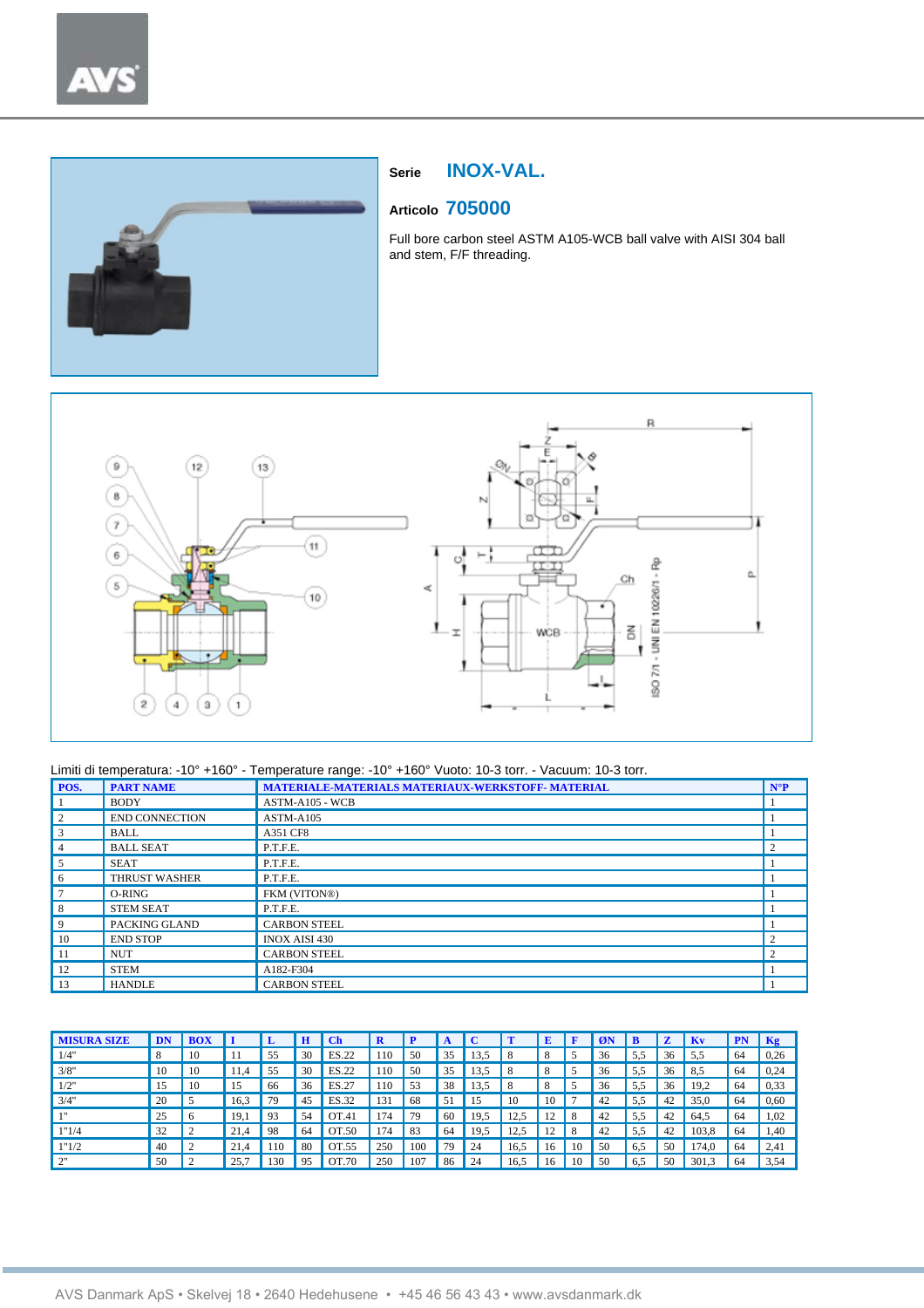



# **Serie INOX-VAL.**

# **Articolo 705000**

Full bore carbon steel ASTM A105-WCB ball valve with AISI 304 ball and stem, F/F threading.



| POS. | <b>PART NAME</b>      | MATERIALE-MATERIALS MATERIAUX-WERKSTOFF- MATERIAL | $N^{\circ}P$                |
|------|-----------------------|---------------------------------------------------|-----------------------------|
|      | <b>BODY</b>           | ASTM-A105 - WCB                                   |                             |
| 2    | <b>END CONNECTION</b> | $ASTM-A105$                                       |                             |
| 3    | <b>BALL</b>           | A351 CF8                                          |                             |
| 4    | <b>BALL SEAT</b>      | P.T.F.E.                                          | $\mathfrak{D}$              |
| 5    | <b>SEAT</b>           | P.T.F.E.                                          |                             |
| 6    | <b>THRUST WASHER</b>  | P.T.F.E.                                          |                             |
|      | O-RING                | FKM (VITON®)                                      |                             |
| 8    | <b>STEM SEAT</b>      | P.T.F.E.                                          |                             |
| 9    | PACKING GLAND         | <b>CARBON STEEL</b>                               |                             |
| 10   | <b>END STOP</b>       | <b>INOX AISI 430</b>                              | $\mathcal{D}_{\mathcal{A}}$ |
| 11   | <b>NUT</b>            | <b>CARBON STEEL</b>                               | $\overline{c}$              |
| 12   | <b>STEM</b>           | A182-F304                                         |                             |
| 13   | <b>HANDLE</b>         | <b>CARBON STEEL</b>                               |                             |

| <b>MISURA SIZE</b> | DN |           |      |     |    | Ch    |     |     |     |      |      |     |    |    | в   |    | -Kv   |     | Kg   |
|--------------------|----|-----------|------|-----|----|-------|-----|-----|-----|------|------|-----|----|----|-----|----|-------|-----|------|
| 1/4"               | 8  | 10        |      | 55  | 30 | ES.22 | 110 | 50  | 35  | 13.5 | 8    |     |    | 36 | 5.5 | 36 | -5.5  | 64  | 0.26 |
| 3/8"               | 10 | 10        | 11.4 | 55  | 30 | ES.22 | 110 | 50  | 35  | 13,5 | 8    |     |    | 36 | 5.5 | 36 | 8.5   | 64  | 0.24 |
| 1/2"               |    | 10        | 15   | 66  | 36 | ES.27 | 110 | 53  | 38  | 13,5 | 8    |     |    | 36 | 5.5 | 36 | 19.2  | 64  | 0,33 |
| 3/4"               | 20 |           | 16.3 | 79  | 45 | ES.32 | 131 | 68  | 51  | 15   | 10   | 10  |    | 42 | 5.5 | 42 | 35,0  | -64 | 0,60 |
|                    | 25 | $\circ$   | 19.1 | 93  | 54 | OT.41 | 174 | 79  | 60  | 19.5 | 12,5 | 12. | 8  | 42 | 5.5 | 42 | 64.5  | -64 | 1,02 |
| 1"1/4              | 32 | $\sim$    | 21.4 | 98  | 64 | OT.50 | 174 | 83  | -64 | 19.5 | 12.5 | 12  | 8  | 42 | 5.5 | 42 | 103.8 | -64 | 1.40 |
| 1"1/2              | 40 | $\bigcap$ | 21.4 | 110 | 80 | OT.55 | 250 | 100 | 79  | 24   | 16.5 | 16  | 10 | 50 | 6.5 | 50 | 74.0  | 64  | 2,41 |
| $\bigcap$          | 50 |           | 25,7 | 130 | 95 | OT.70 | 250 | 107 | 86  | 24   | 16,5 | 16  | 10 | 50 | 6.5 | 50 | 301,3 | -64 | 3,54 |